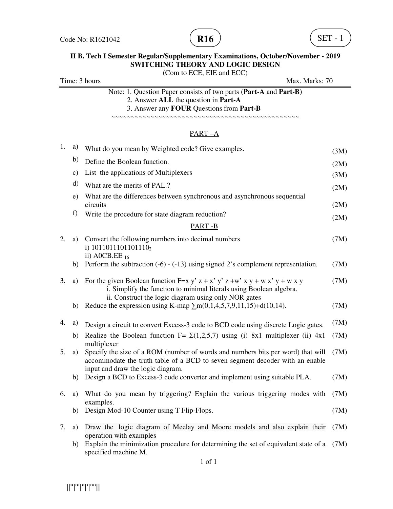

## **II B. Tech I Semester Regular/Supplementary Examinations, October/November - 2019 SWITCHING THEORY AND LOGIC DESIGN**

(Com to ECE, EIE and ECC) Time: 3 hours Max. Marks: 70 Note: 1. Question Paper consists of two parts (**Part-A** and **Part-B)** 2. Answer **ALL** the question in **Part-A** 3. Answer any **FOUR** Questions from **Part-B** ~~~~~~~~~~~~~~~~~~~~~~~~~~~~~~~~~~~~~~~~~~~~~~~~

#### PART –A

| 1. | a)            | What do you mean by Weighted code? Give examples.                                                                                                                                                         | (3M) |
|----|---------------|-----------------------------------------------------------------------------------------------------------------------------------------------------------------------------------------------------------|------|
|    | b)            | Define the Boolean function.                                                                                                                                                                              | (2M) |
|    | $\mathbf{c})$ | List the applications of Multiplexers                                                                                                                                                                     | (3M) |
|    | d)            | What are the merits of PAL.?                                                                                                                                                                              | (2M) |
|    | e)            | What are the differences between synchronous and asynchronous sequential<br>circuits                                                                                                                      | (2M) |
|    | f)            | Write the procedure for state diagram reduction?                                                                                                                                                          | (2M) |
|    |               | PART-B                                                                                                                                                                                                    |      |
| 2. | a)            | Convert the following numbers into decimal numbers<br>i) $1011011101101110_2$<br>ii) A0CB.EE $_{16}$                                                                                                      | (7M) |
|    | b)            | Perform the subtraction $(-6) - (-13)$ using signed 2's complement representation.                                                                                                                        | (7M) |
| 3. | a)            | For the given Boolean function F=x y' z + x' y' z +w' x y + w x' y + w x y<br>i. Simplify the function to minimal literals using Boolean algebra.<br>ii. Construct the logic diagram using only NOR gates | (7M) |
|    | b)            | Reduce the expression using K-map $\sum m(0,1,4,5,7,9,11,15) + d(10,14)$ .                                                                                                                                | (7M) |
| 4. | a)            | Design a circuit to convert Excess-3 code to BCD code using discrete Logic gates.                                                                                                                         | (7M) |
|    | b)            | Realize the Boolean function F= $\Sigma(1,2,5,7)$ using (i) 8x1 multiplexer (ii) 4x1<br>multiplexer                                                                                                       | (7M) |
| 5. | a)            | Specify the size of a ROM (number of words and numbers bits per word) that will<br>accommodate the truth table of a BCD to seven segment decoder with an enable<br>input and draw the logic diagram.      | (7M) |
|    | b)            | Design a BCD to Excess-3 code converter and implement using suitable PLA.                                                                                                                                 | (7M) |
| 6. | a)            | What do you mean by triggering? Explain the various triggering modes with<br>examples.                                                                                                                    | (7M) |
|    | b)            | Design Mod-10 Counter using T Flip-Flops.                                                                                                                                                                 | (7M) |
| 7. | a)            | Draw the logic diagram of Meelay and Moore models and also explain their<br>operation with examples                                                                                                       | (7M) |
|    | b)            | Explain the minimization procedure for determining the set of equivalent state of a<br>specified machine M.                                                                                               | (7M) |

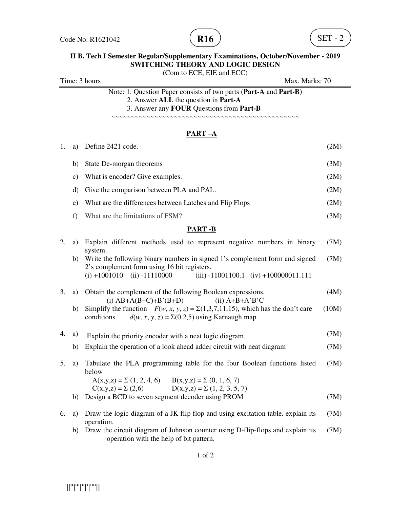

# **II B. Tech I Semester Regular/Supplementary Examinations, October/November - 2019 SWITCHING THEORY AND LOGIC DESIGN**

(Com to ECE, EIE and ECC) Time: 3 hours Max. Marks: 70

| Note: 1. Question Paper consists of two parts (Part-A and Part-B) |  |
|-------------------------------------------------------------------|--|
| 2. Answer ALL the question in Part-A                              |  |
| 3. Answer any <b>FOUR</b> Questions from <b>Part-B</b>            |  |
|                                                                   |  |

### **PART –A**

| 1. | a)            | Define 2421 code.                                                                                                                                                                                                      | (2M)  |
|----|---------------|------------------------------------------------------------------------------------------------------------------------------------------------------------------------------------------------------------------------|-------|
|    | b)            | State De-morgan theorems                                                                                                                                                                                               | (3M)  |
|    | $\mathbf{c})$ | What is encoder? Give examples.                                                                                                                                                                                        | (2M)  |
|    | d)            | Give the comparison between PLA and PAL.                                                                                                                                                                               | (2M)  |
|    | e)            | What are the differences between Latches and Flip Flops                                                                                                                                                                | (2M)  |
|    | f)            | What are the limitations of FSM?                                                                                                                                                                                       | (3M)  |
|    |               | <b>PART-B</b>                                                                                                                                                                                                          |       |
| 2. | a)            | Explain different methods used to represent negative numbers in binary                                                                                                                                                 | (7M)  |
|    | b)            | system.<br>Write the following binary numbers in signed 1's complement form and signed<br>2's complement form using 16 bit registers.<br>$(i) + 1001010$ $(ii) -11110000$<br>(iii) $-11001100.1$ (iv) $+100000011.111$ | (7M)  |
| 3. | a)            | Obtain the complement of the following Boolean expressions.<br>$(i)$ AB+A(B+C)+B'(B+D)<br>$(ii)$ A+B+A'B'C                                                                                                             | (4M)  |
|    | b)            | Simplify the function $F(w, x, y, z) = \Sigma(1,3,7,11,15)$ , which has the don't care<br>$d(w, x, y, z) = \Sigma(0,2,5)$ using Karnaugh map<br>conditions                                                             | (10M) |
| 4. | a)            | Explain the priority encoder with a neat logic diagram.                                                                                                                                                                | (7M)  |
|    | b)            | Explain the operation of a look ahead adder circuit with neat diagram                                                                                                                                                  | (7M)  |
| 5. | a)            | Tabulate the PLA programming table for the four Boolean functions listed<br>below                                                                                                                                      | (7M)  |
|    |               | $A(x,y,z) = \sum (1, 2, 4, 6)$ $B(x,y,z) = \sum (0, 1, 6, 7)$<br>$D(x,y,z) = \sum (1, 2, 3, 5, 7)$<br>$C(x,y,z) = \Sigma (2,6)$                                                                                        |       |
|    | b)            | Design a BCD to seven segment decoder using PROM                                                                                                                                                                       | (7M)  |
| 6. | a)            | Draw the logic diagram of a JK flip flop and using excitation table. explain its<br>operation.                                                                                                                         | (7M)  |
|    | b)            | Draw the circuit diagram of Johnson counter using D-flip-flops and explain its<br>operation with the help of bit pattern.                                                                                              | (7M)  |

1 of 2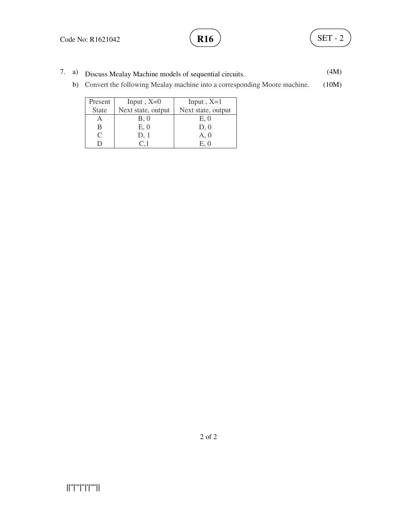- 7. a) Discuss Mealay Machine models of sequential circuits. (4M)
	- b) Convert the following Mealay machine into a corresponding Moore machine. (10M)

| Present      | Input, $X=0$       | Input, $X=1$       |
|--------------|--------------------|--------------------|
| <b>State</b> | Next state, output | Next state, output |
|              | B, 0               | E, 0               |
| B            | E, 0               | D, 0               |
| $\subset$    | D, 1               | A, 0               |
|              |                    | E. 0               |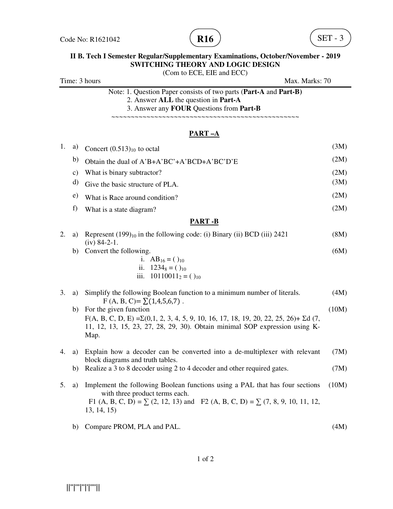

# **II B. Tech I Semester Regular/Supplementary Examinations, October/November - 2019 SWITCHING THEORY AND LOGIC DESIGN**

|    | (Com to ECE, EIE and ECC)<br>Time: 3 hours<br>Max. Marks: 70 |                                                                                                                                                                                                                              |       |
|----|--------------------------------------------------------------|------------------------------------------------------------------------------------------------------------------------------------------------------------------------------------------------------------------------------|-------|
|    |                                                              | Note: 1. Question Paper consists of two parts (Part-A and Part-B)<br>2. Answer ALL the question in Part-A<br>3. Answer any FOUR Questions from Part-B                                                                        |       |
|    |                                                              | <u>PART-A</u>                                                                                                                                                                                                                |       |
| 1. | a)                                                           | Concert $(0.513)_{10}$ to octal                                                                                                                                                                                              | (3M)  |
|    | b)                                                           | Obtain the dual of A'B+A'BC'+A'BCD+A'BC'D'E                                                                                                                                                                                  | (2M)  |
|    | $\mathbf{c})$                                                | What is binary subtractor?                                                                                                                                                                                                   | (2M)  |
|    | d)                                                           | Give the basic structure of PLA.                                                                                                                                                                                             | (3M)  |
|    | e)                                                           | What is Race around condition?                                                                                                                                                                                               | (2M)  |
|    | f)                                                           | What is a state diagram?                                                                                                                                                                                                     | (2M)  |
|    |                                                              | <b>PART-B</b>                                                                                                                                                                                                                |       |
| 2. | a)                                                           | Represent (199) <sub>10</sub> in the following code: (i) Binary (ii) BCD (iii) 2421<br>$(iv)$ 84-2-1.                                                                                                                        | (8M)  |
|    | b)                                                           | Convert the following.<br>i. $AB_{16} = ()_{10}$<br>ii. $1234_8 = ()_{10}$<br>$10110011_2 = ()_{10}$<br>iii.                                                                                                                 | (6M)  |
| 3. | a)                                                           | Simplify the following Boolean function to a minimum number of literals.<br>$F(A, B, C) = \sum (1, 4, 5, 6, 7)$ .                                                                                                            | (4M)  |
|    | b)                                                           | For the given function<br>$F(A, B, C, D, E) = \Sigma(0,1, 2, 3, 4, 5, 9, 10, 16, 17, 18, 19, 20, 22, 25, 26) + \Sigma d (7,$<br>11, 12, 13, 15, 23, 27, 28, 29, 30). Obtain minimal SOP expression using K-<br>Map.          | (10M) |
| 4. |                                                              | a) Explain how a decoder can be converted into a de-multiplexer with relevant<br>block diagrams and truth tables.                                                                                                            | (7M)  |
|    | b)                                                           | Realize a 3 to 8 decoder using 2 to 4 decoder and other required gates.                                                                                                                                                      | (7M)  |
| 5. | a)                                                           | Implement the following Boolean functions using a PAL that has four sections<br>with three product terms each.<br>F1 (A, B, C, D) = $\Sigma$ (2, 12, 13) and F2 (A, B, C, D) = $\Sigma$ (7, 8, 9, 10, 11, 12,<br>13, 14, 15) | (10M) |
|    | b)                                                           | Compare PROM, PLA and PAL.                                                                                                                                                                                                   | (4M)  |

1 of 2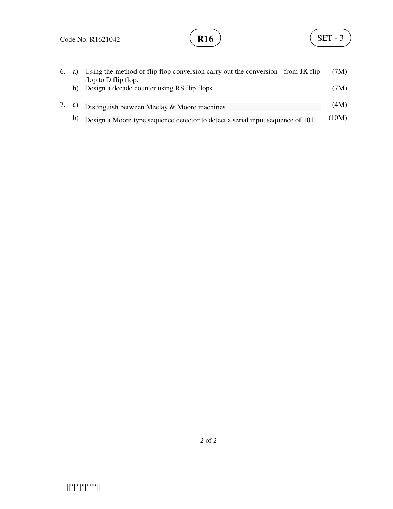| 6. | a) | Using the method of flip flop conversion carry out the conversion from JK flip<br>flop to D flip flop. | (7M)  |
|----|----|--------------------------------------------------------------------------------------------------------|-------|
|    |    | b) Design a decade counter using RS flip flops.                                                        | (7M)  |
|    |    | 7. a) Distinguish between Meelay & Moore machines                                                      | (4M)  |
|    |    | b) Design a Moore type sequence detector to detect a serial input sequence of 101.                     | (10M) |